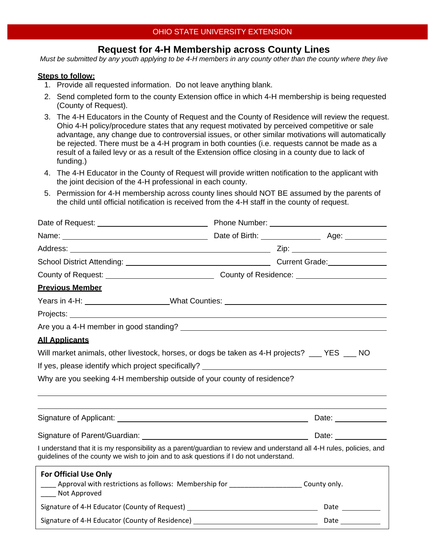# **Request for 4-H Membership across County Lines**

*Must be submitted by any youth applying to be 4-H members in any county other than the county where they live* 

#### **Steps to follow:**

- 1. Provide all requested information. Do not leave anything blank.
- 2. Send completed form to the county Extension office in which 4-H membership is being requested (County of Request).
- 3. The 4-H Educators in the County of Request and the County of Residence will review the request. Ohio 4-H policy/procedure states that any request motivated by perceived competitive or sale advantage, any change due to controversial issues, or other similar motivations will automatically be rejected. There must be a 4-H program in both counties (i.e. requests cannot be made as a result of a failed levy or as a result of the Extension office closing in a county due to lack of funding.)
- 4. The 4-H Educator in the County of Request will provide written notification to the applicant with the joint decision of the 4-H professional in each county.
- 5. Permission for 4-H membership across county lines should NOT BE assumed by the parents of the child until official notification is received from the 4-H staff in the county of request.

| Date of Request: _____________________________                                                                                                                                                                                                                                         |                                                                                                     |  |  |  |                      |
|----------------------------------------------------------------------------------------------------------------------------------------------------------------------------------------------------------------------------------------------------------------------------------------|-----------------------------------------------------------------------------------------------------|--|--|--|----------------------|
|                                                                                                                                                                                                                                                                                        |                                                                                                     |  |  |  |                      |
|                                                                                                                                                                                                                                                                                        |                                                                                                     |  |  |  |                      |
|                                                                                                                                                                                                                                                                                        |                                                                                                     |  |  |  |                      |
|                                                                                                                                                                                                                                                                                        | County of Request: _________________________________County of Residence: __________________________ |  |  |  |                      |
| <b>Previous Member</b>                                                                                                                                                                                                                                                                 |                                                                                                     |  |  |  |                      |
| Years in 4-H: _____________________What Counties: ______________________________                                                                                                                                                                                                       |                                                                                                     |  |  |  |                      |
|                                                                                                                                                                                                                                                                                        |                                                                                                     |  |  |  |                      |
| <b>All Applicants</b><br>Will market animals, other livestock, horses, or dogs be taken as 4-H projects? ___ YES ___ NO<br>If yes, please identify which project specifically? ____________________________<br>Why are you seeking 4-H membership outside of your county of residence? |                                                                                                     |  |  |  |                      |
|                                                                                                                                                                                                                                                                                        |                                                                                                     |  |  |  |                      |
|                                                                                                                                                                                                                                                                                        |                                                                                                     |  |  |  |                      |
|                                                                                                                                                                                                                                                                                        |                                                                                                     |  |  |  | Date: ______________ |
|                                                                                                                                                                                                                                                                                        |                                                                                                     |  |  |  |                      |
| I understand that it is my responsibility as a parent/guardian to review and understand all 4-H rules, policies, and<br>guidelines of the county we wish to join and to ask questions if I do not understand.                                                                          |                                                                                                     |  |  |  |                      |
| <b>For Official Use Only</b>                                                                                                                                                                                                                                                           |                                                                                                     |  |  |  |                      |
| Approval with restrictions as follows: Membership for _____________________County only.<br>____ Not Approved                                                                                                                                                                           |                                                                                                     |  |  |  |                      |
|                                                                                                                                                                                                                                                                                        |                                                                                                     |  |  |  |                      |
|                                                                                                                                                                                                                                                                                        |                                                                                                     |  |  |  |                      |